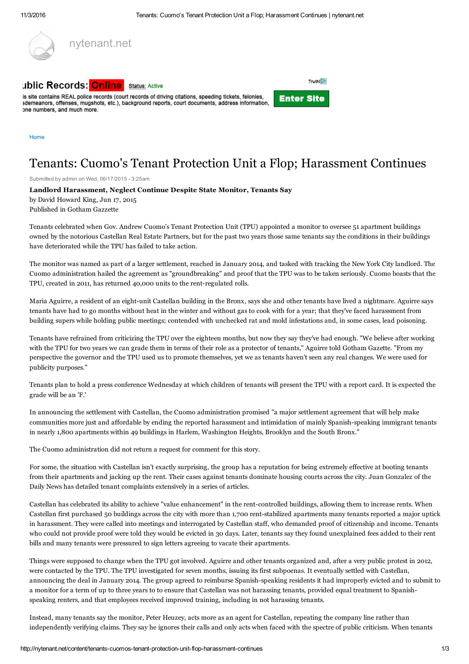

Home

## Tenants: Cuomo's Tenant Protection Unit a Flop; Harassment Continues

Submitted by admin on Wed, 06/17/2015 - 3:25am

**Landlord Harassment, Neglect Continue Despite State Monitor, Tenants Say** by David Howard King, Jun 17, 2015 Published in Gotham Gazzette

Tenants celebrated when Gov. Andrew Cuomo's Tenant Protection Unit (TPU) appointed a monitor to oversee 51 apartment buildings owned by the notorious Castellan Real Estate Partners, but for the past two years those same tenants say the conditions in their buildings have deteriorated while the TPU has failed to take action.

The monitor was named as part of a larger settlement, reached in January 2014, and tasked with tracking the New York City landlord. The Cuomo administration hailed the agreement as "groundbreaking" and proof that the TPU was to be taken seriously. Cuomo boasts that the TPU, created in 2011, has returned 40,000 units to the rent-regulated rolls.

Maria Aguirre, a resident of an eight-unit Castellan building in the Bronx, says she and other tenants have lived a nightmare. Aguirre says tenants have had to go months without heat in the winter and without gas to cook with for a year; that they've faced harassment from building supers while holding public meetings; contended with unchecked rat and mold infestations and, in some cases, lead poisoning.

Tenants have refrained from criticizing the TPU over the eighteen months, but now they say they've had enough. "We believe after working with the TPU for two years we can grade them in terms of their role as a protector of tenants," Aguirre told Gotham Gazette. "From my perspective the governor and the TPU used us to promote themselves, yet we as tenants haven't seen any real changes. We were used for publicity purposes."

Tenants plan to hold a press conference Wednesday at which children of tenants will present the TPU with a report card. It is expected the grade will be an 'F.'

In announcing the settlement with Castellan, the Cuomo administration promised "a major settlement agreement that will help make communities more just and affordable by ending the reported harassment and intimidation of mainly Spanish-speaking immigrant tenants in nearly 1,800 apartments within 49 buildings in Harlem, Washington Heights, Brooklyn and the South Bronx."

The Cuomo administration did not return a request for comment for this story.

For some, the situation with Castellan isn't exactly surprising, the group has a reputation for being extremely effective at booting tenants from their apartments and jacking up the rent. Their cases against tenants dominate housing courts across the city. Juan Gonzalez of the Daily News has detailed tenant complaints extensively in a series of articles.

Castellan has celebrated its ability to achieve "value enhancement" in the rent-controlled buildings, allowing them to increase rents. When Castellan first purchased 50 buildings across the city with more than 1,700 rent-stabilized apartments many tenants reported a major uptick in harassment. They were called into meetings and interrogated by Castellan staff, who demanded proof of citizenship and income. Tenants who could not provide proof were told they would be evicted in 30 days. Later, tenants say they found unexplained fees added to their rent bills and many tenants were pressured to sign letters agreeing to vacate their apartments.

Things were supposed to change when the TPU got involved. Aguirre and other tenants organized and, after a very public protest in 2012, were contacted by the TPU. The TPU investigated for seven months, issuing its first subpoenas. It eventually settled with Castellan, announcing the deal in January 2014. The group agreed to reimburse Spanish-speaking residents it had improperly evicted and to submit to a monitor for a term of up to three years to to ensure that Castellan was not harassing tenants, provided equal treatment to Spanishspeaking renters, and that employees received improved training, including in not harassing tenants.

Instead, many tenants say the monitor, Peter Heuzey, acts more as an agent for Castellan, repeating the company line rather than independently verifying claims. They say he ignores their calls and only acts when faced with the spectre of public criticism. When tenants